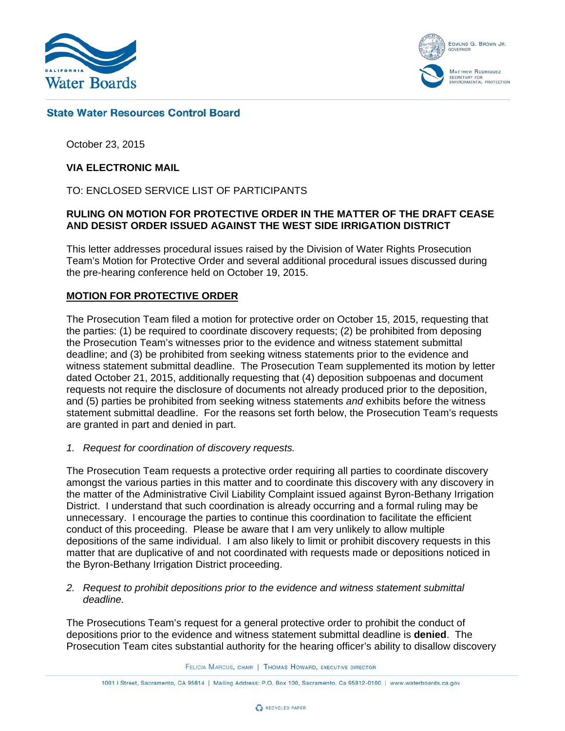

EDMUND G. BROWN JR. MATTHEW RODRIQUEZ MATTHEW MODRIQUEZ<br>SECRETARY FOR<br>ENVIRONMENTAL PROTECTION

## **State Water Resources Control Board**

October 23, 2015

### **VIA ELECTRONIC MAIL**

TO: ENCLOSED SERVICE LIST OF PARTICIPANTS

### **RULING ON MOTION FOR PROTECTIVE ORDER IN THE MATTER OF THE DRAFT CEASE AND DESIST ORDER ISSUED AGAINST THE WEST SIDE IRRIGATION DISTRICT**

This letter addresses procedural issues raised by the Division of Water Rights Prosecution Team's Motion for Protective Order and several additional procedural issues discussed during the pre-hearing conference held on October 19, 2015.

### **MOTION FOR PROTECTIVE ORDER**

The Prosecution Team filed a motion for protective order on October 15, 2015, requesting that the parties: (1) be required to coordinate discovery requests; (2) be prohibited from deposing the Prosecution Team's witnesses prior to the evidence and witness statement submittal deadline; and (3) be prohibited from seeking witness statements prior to the evidence and witness statement submittal deadline. The Prosecution Team supplemented its motion by letter dated October 21, 2015, additionally requesting that (4) deposition subpoenas and document requests not require the disclosure of documents not already produced prior to the deposition, and (5) parties be prohibited from seeking witness statements *and* exhibits before the witness statement submittal deadline. For the reasons set forth below, the Prosecution Team's requests are granted in part and denied in part.

*1. Request for coordination of discovery requests.*

The Prosecution Team requests a protective order requiring all parties to coordinate discovery amongst the various parties in this matter and to coordinate this discovery with any discovery in the matter of the Administrative Civil Liability Complaint issued against Byron-Bethany Irrigation District. I understand that such coordination is already occurring and a formal ruling may be unnecessary. I encourage the parties to continue this coordination to facilitate the efficient conduct of this proceeding. Please be aware that I am very unlikely to allow multiple depositions of the same individual. I am also likely to limit or prohibit discovery requests in this matter that are duplicative of and not coordinated with requests made or depositions noticed in the Byron-Bethany Irrigation District proceeding.

*2. Request to prohibit depositions prior to the evidence and witness statement submittal deadline.*

The Prosecutions Team's request for a general protective order to prohibit the conduct of depositions prior to the evidence and witness statement submittal deadline is **denied**. The Prosecution Team cites substantial authority for the hearing officer's ability to disallow discovery

FELICIA MARCUS, CHAIR | THOMAS HOWARD, EXECUTIVE DIRECTOR

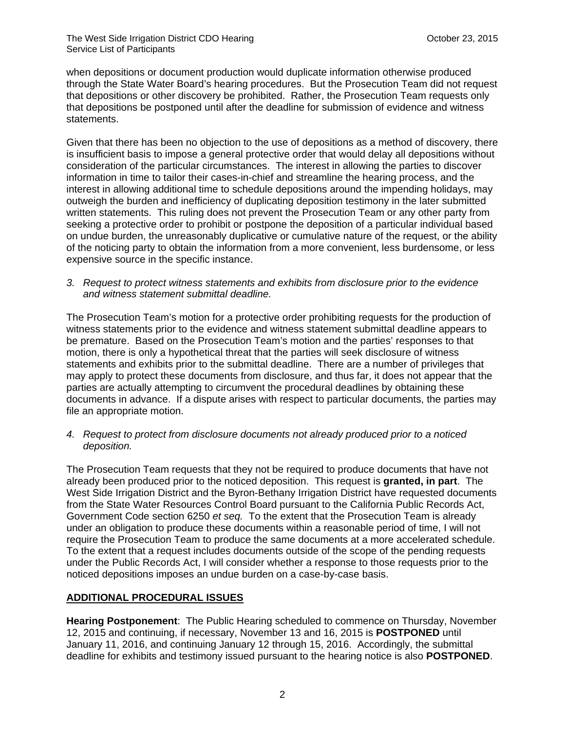when depositions or document production would duplicate information otherwise produced through the State Water Board's hearing procedures. But the Prosecution Team did not request that depositions or other discovery be prohibited. Rather, the Prosecution Team requests only that depositions be postponed until after the deadline for submission of evidence and witness statements.

Given that there has been no objection to the use of depositions as a method of discovery, there is insufficient basis to impose a general protective order that would delay all depositions without consideration of the particular circumstances. The interest in allowing the parties to discover information in time to tailor their cases-in-chief and streamline the hearing process, and the interest in allowing additional time to schedule depositions around the impending holidays, may outweigh the burden and inefficiency of duplicating deposition testimony in the later submitted written statements. This ruling does not prevent the Prosecution Team or any other party from seeking a protective order to prohibit or postpone the deposition of a particular individual based on undue burden, the unreasonably duplicative or cumulative nature of the request, or the ability of the noticing party to obtain the information from a more convenient, less burdensome, or less expensive source in the specific instance.

*3. Request to protect witness statements and exhibits from disclosure prior to the evidence and witness statement submittal deadline.*

The Prosecution Team's motion for a protective order prohibiting requests for the production of witness statements prior to the evidence and witness statement submittal deadline appears to be premature. Based on the Prosecution Team's motion and the parties' responses to that motion, there is only a hypothetical threat that the parties will seek disclosure of witness statements and exhibits prior to the submittal deadline. There are a number of privileges that may apply to protect these documents from disclosure, and thus far, it does not appear that the parties are actually attempting to circumvent the procedural deadlines by obtaining these documents in advance. If a dispute arises with respect to particular documents, the parties may file an appropriate motion.

*4. Request to protect from disclosure documents not already produced prior to a noticed deposition.*

The Prosecution Team requests that they not be required to produce documents that have not already been produced prior to the noticed deposition. This request is **granted, in part**. The West Side Irrigation District and the Byron-Bethany Irrigation District have requested documents from the State Water Resources Control Board pursuant to the California Public Records Act, Government Code section 6250 *et seq.* To the extent that the Prosecution Team is already under an obligation to produce these documents within a reasonable period of time, I will not require the Prosecution Team to produce the same documents at a more accelerated schedule. To the extent that a request includes documents outside of the scope of the pending requests under the Public Records Act, I will consider whether a response to those requests prior to the noticed depositions imposes an undue burden on a case-by-case basis.

# **ADDITIONAL PROCEDURAL ISSUES**

**Hearing Postponement**: The Public Hearing scheduled to commence on Thursday, November 12, 2015 and continuing, if necessary, November 13 and 16, 2015 is **POSTPONED** until January 11, 2016, and continuing January 12 through 15, 2016. Accordingly, the submittal deadline for exhibits and testimony issued pursuant to the hearing notice is also **POSTPONED**.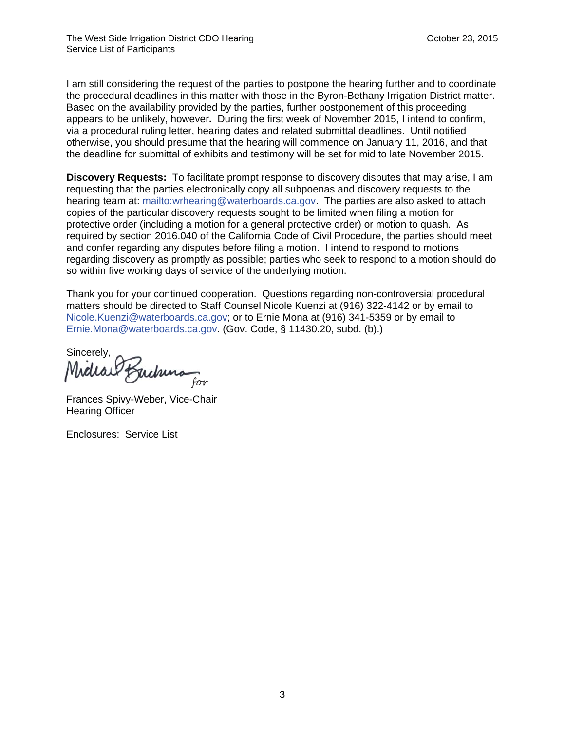I am still considering the request of the parties to postpone the hearing further and to coordinate the procedural deadlines in this matter with those in the Byron-Bethany Irrigation District matter. Based on the availability provided by the parties, further postponement of this proceeding appears to be unlikely, however**.** During the first week of November 2015, I intend to confirm, via a procedural ruling letter, hearing dates and related submittal deadlines. Until notified otherwise, you should presume that the hearing will commence on January 11, 2016, and that the deadline for submittal of exhibits and testimony will be set for mid to late November 2015.

**Discovery Requests:** To facilitate prompt response to discovery disputes that may arise, I am requesting that the parties electronically copy all subpoenas and discovery requests to the hearing team at: mailto:wrhearing@waterboards.ca.gov. The parties are also asked to attach copies of the particular discovery requests sought to be limited when filing a motion for protective order (including a motion for a general protective order) or motion to quash. As required by section 2016.040 of the California Code of Civil Procedure, the parties should meet and confer regarding any disputes before filing a motion. I intend to respond to motions regarding discovery as promptly as possible; parties who seek to respond to a motion should do so within five working days of service of the underlying motion.

Thank you for your continued cooperation. Questions regarding non-controversial procedural matters should be directed to Staff Counsel Nicole Kuenzi at (916) 322-4142 or by email to Nicole.Kuenzi@waterboards.ca.gov; or to Ernie Mona at (916) 341-5359 or by email to Ernie.Mona@waterboards.ca.gov. (Gov. Code, § 11430.20, subd. (b).)

Sincerely, for

Frances Spivy-Weber, Vice-Chair Hearing Officer

Enclosures: Service List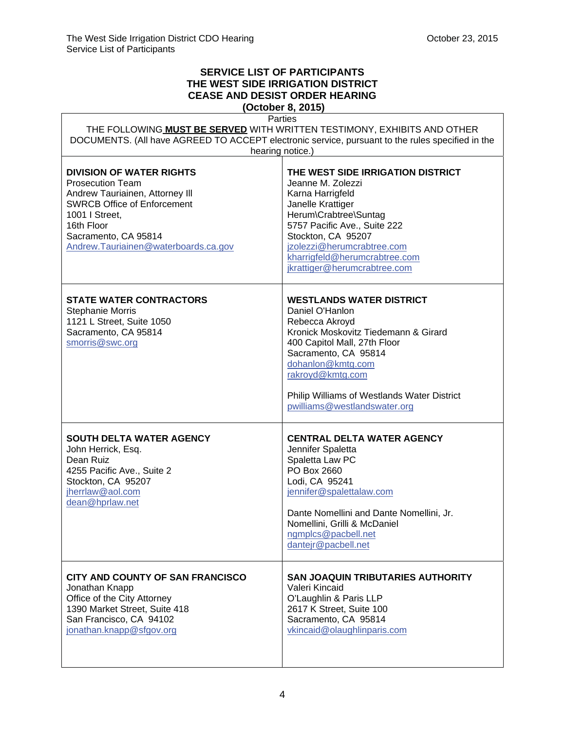'n

# **SERVICE LIST OF PARTICIPANTS THE WEST SIDE IRRIGATION DISTRICT CEASE AND DESIST ORDER HEARING**

**(October 8, 2015)**  $\overline{P}$ 

| Parties<br>THE FOLLOWING MUST BE SERVED WITH WRITTEN TESTIMONY, EXHIBITS AND OTHER<br>DOCUMENTS. (All have AGREED TO ACCEPT electronic service, pursuant to the rules specified in the<br>hearing notice.)                          |                                                                                                                                                                                                                                                                                              |
|-------------------------------------------------------------------------------------------------------------------------------------------------------------------------------------------------------------------------------------|----------------------------------------------------------------------------------------------------------------------------------------------------------------------------------------------------------------------------------------------------------------------------------------------|
| <b>DIVISION OF WATER RIGHTS</b><br><b>Prosecution Team</b><br>Andrew Tauriainen, Attorney III<br><b>SWRCB Office of Enforcement</b><br>1001   Street,<br>16th Floor<br>Sacramento, CA 95814<br>Andrew.Tauriainen@waterboards.ca.gov | THE WEST SIDE IRRIGATION DISTRICT<br>Jeanne M. Zolezzi<br>Karna Harrigfeld<br>Janelle Krattiger<br>Herum\Crabtree\Suntag<br>5757 Pacific Ave., Suite 222<br>Stockton, CA 95207<br>jzolezzi@herumcrabtree.com<br>kharrigfeld@herumcrabtree.com<br>jkrattiger@herumcrabtree.com                |
| <b>STATE WATER CONTRACTORS</b><br>Stephanie Morris<br>1121 L Street, Suite 1050<br>Sacramento, CA 95814<br>smorris@swc.org                                                                                                          | <b>WESTLANDS WATER DISTRICT</b><br>Daniel O'Hanlon<br>Rebecca Akroyd<br>Kronick Moskovitz Tiedemann & Girard<br>400 Capitol Mall, 27th Floor<br>Sacramento, CA 95814<br>dohanlon@kmtg.com<br>rakroyd@kmtg.com<br>Philip Williams of Westlands Water District<br>pwilliams@westlandswater.org |
| <b>SOUTH DELTA WATER AGENCY</b><br>John Herrick, Esq.<br>Dean Ruiz<br>4255 Pacific Ave., Suite 2<br>Stockton, CA 95207<br>jherrlaw@aol.com<br>dean@hprlaw.net                                                                       | <b>CENTRAL DELTA WATER AGENCY</b><br>Jennifer Spaletta<br>Spaletta Law PC<br>PO Box 2660<br>Lodi, CA 95241<br>jennifer@spalettalaw.com<br>Dante Nomellini and Dante Nomellini, Jr.<br>Nomellini, Grilli & McDaniel<br>ngmplcs@pacbell.net<br>dantejr@pacbell.net                             |
| CITY AND COUNTY OF SAN FRANCISCO<br>Jonathan Knapp<br>Office of the City Attorney<br>1390 Market Street, Suite 418<br>San Francisco, CA 94102<br>jonathan.knapp@sfgov.org                                                           | <b>SAN JOAQUIN TRIBUTARIES AUTHORITY</b><br>Valeri Kincaid<br>O'Laughlin & Paris LLP<br>2617 K Street, Suite 100<br>Sacramento, CA 95814<br>vkincaid@olaughlinparis.com                                                                                                                      |